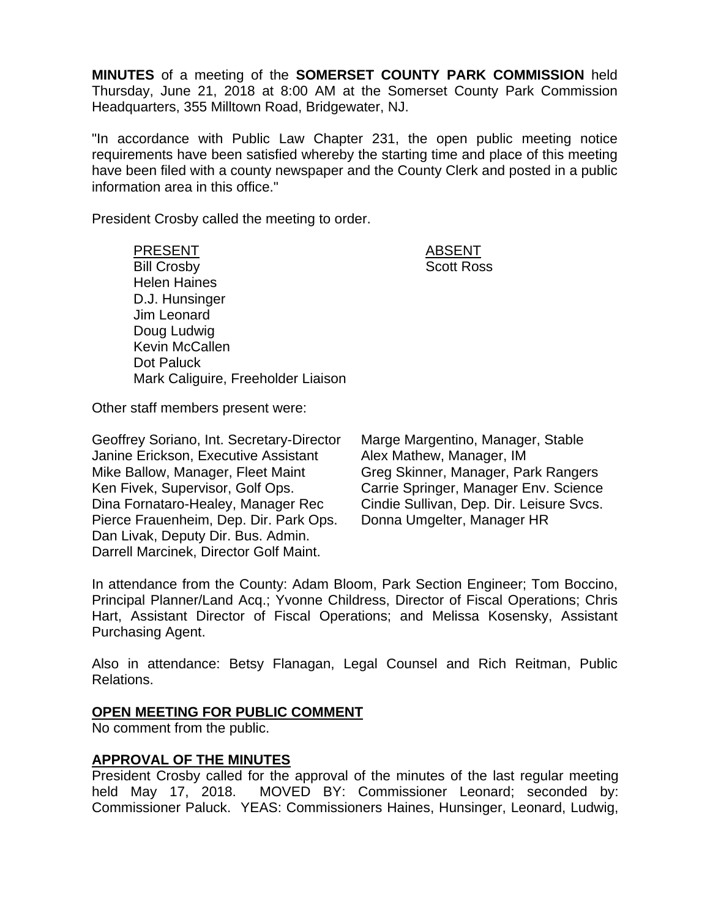**MINUTES** of a meeting of the **SOMERSET COUNTY PARK COMMISSION** held Thursday, June 21, 2018 at 8:00 AM at the Somerset County Park Commission Headquarters, 355 Milltown Road, Bridgewater, NJ.

"In accordance with Public Law Chapter 231, the open public meeting notice requirements have been satisfied whereby the starting time and place of this meeting have been filed with a county newspaper and the County Clerk and posted in a public information area in this office."

President Crosby called the meeting to order.

PRESENT ABSENT Bill Crosby Scott Ross Helen Haines D.J. Hunsinger Jim Leonard Doug Ludwig Kevin McCallen Dot Paluck Mark Caliguire, Freeholder Liaison

Other staff members present were:

Geoffrey Soriano, Int. Secretary-Director Janine Erickson, Executive Assistant Mike Ballow, Manager, Fleet Maint Ken Fivek, Supervisor, Golf Ops. Dina Fornataro-Healey, Manager Rec Pierce Frauenheim, Dep. Dir. Park Ops. Dan Livak, Deputy Dir. Bus. Admin. Darrell Marcinek, Director Golf Maint.

Marge Margentino, Manager, Stable Alex Mathew, Manager, IM Greg Skinner, Manager, Park Rangers Carrie Springer, Manager Env. Science Cindie Sullivan, Dep. Dir. Leisure Svcs. Donna Umgelter, Manager HR

In attendance from the County: Adam Bloom, Park Section Engineer; Tom Boccino, Principal Planner/Land Acq.; Yvonne Childress, Director of Fiscal Operations; Chris Hart, Assistant Director of Fiscal Operations; and Melissa Kosensky, Assistant Purchasing Agent.

Also in attendance: Betsy Flanagan, Legal Counsel and Rich Reitman, Public Relations.

### **OPEN MEETING FOR PUBLIC COMMENT**

No comment from the public.

# **APPROVAL OF THE MINUTES**

President Crosby called for the approval of the minutes of the last regular meeting held May 17, 2018. MOVED BY: Commissioner Leonard; seconded by: Commissioner Paluck. YEAS: Commissioners Haines, Hunsinger, Leonard, Ludwig,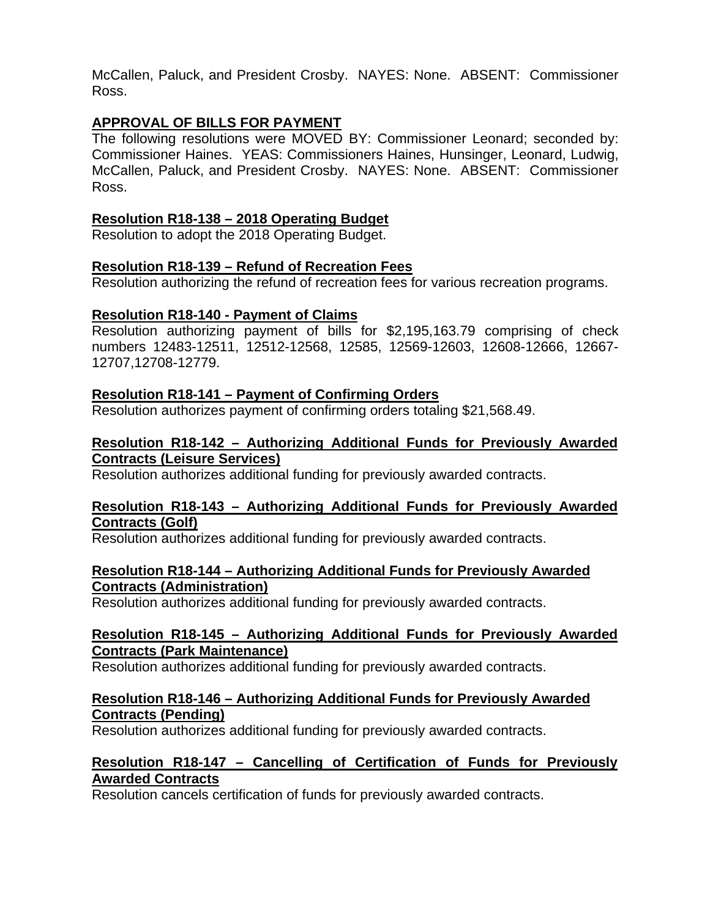McCallen, Paluck, and President Crosby. NAYES: None. ABSENT: Commissioner Ross.

# **APPROVAL OF BILLS FOR PAYMENT**

The following resolutions were MOVED BY: Commissioner Leonard; seconded by: Commissioner Haines. YEAS: Commissioners Haines, Hunsinger, Leonard, Ludwig, McCallen, Paluck, and President Crosby. NAYES: None. ABSENT: Commissioner Ross.

### **Resolution R18-138 – 2018 Operating Budget**

Resolution to adopt the 2018 Operating Budget.

# **Resolution R18-139 – Refund of Recreation Fees**

Resolution authorizing the refund of recreation fees for various recreation programs.

# **Resolution R18-140 - Payment of Claims**

Resolution authorizing payment of bills for \$2,195,163.79 comprising of check numbers 12483-12511, 12512-12568, 12585, 12569-12603, 12608-12666, 12667- 12707,12708-12779.

# **Resolution R18-141 – Payment of Confirming Orders**

Resolution authorizes payment of confirming orders totaling \$21,568.49.

### **Resolution R18-142 – Authorizing Additional Funds for Previously Awarded Contracts (Leisure Services)**

Resolution authorizes additional funding for previously awarded contracts.

### **Resolution R18-143 – Authorizing Additional Funds for Previously Awarded Contracts (Golf)**

Resolution authorizes additional funding for previously awarded contracts.

### **Resolution R18-144 – Authorizing Additional Funds for Previously Awarded Contracts (Administration)**

Resolution authorizes additional funding for previously awarded contracts.

#### **Resolution R18-145 – Authorizing Additional Funds for Previously Awarded Contracts (Park Maintenance)**

Resolution authorizes additional funding for previously awarded contracts.

# **Resolution R18-146 – Authorizing Additional Funds for Previously Awarded Contracts (Pending)**

Resolution authorizes additional funding for previously awarded contracts.

#### **Resolution R18-147 – Cancelling of Certification of Funds for Previously Awarded Contracts**

Resolution cancels certification of funds for previously awarded contracts.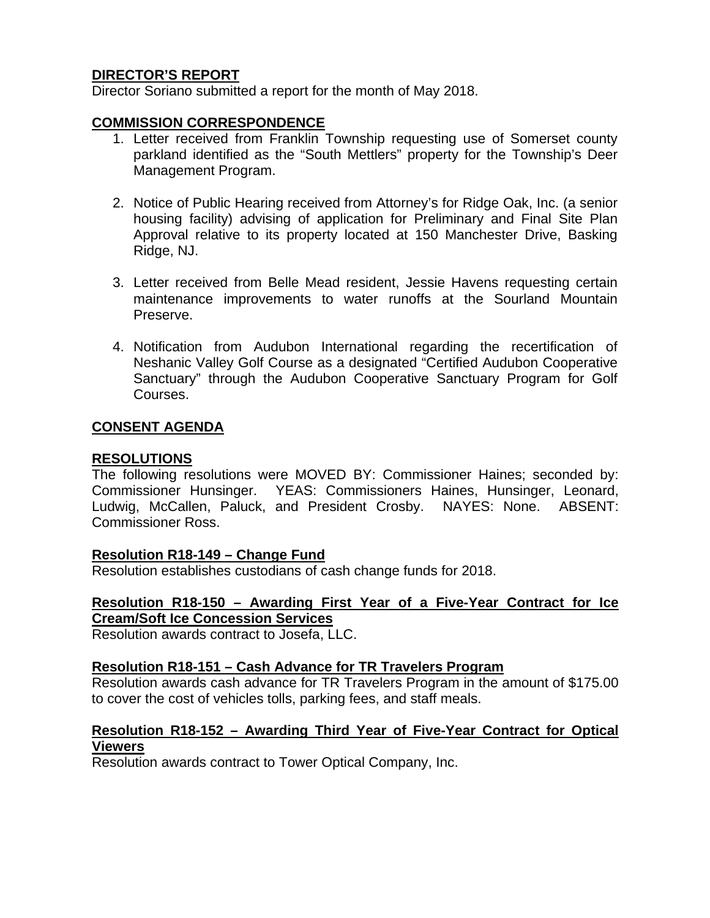# **DIRECTOR'S REPORT**

Director Soriano submitted a report for the month of May 2018.

#### **COMMISSION CORRESPONDENCE**

- 1. Letter received from Franklin Township requesting use of Somerset county parkland identified as the "South Mettlers" property for the Township's Deer Management Program.
- 2. Notice of Public Hearing received from Attorney's for Ridge Oak, Inc. (a senior housing facility) advising of application for Preliminary and Final Site Plan Approval relative to its property located at 150 Manchester Drive, Basking Ridge, NJ.
- 3. Letter received from Belle Mead resident, Jessie Havens requesting certain maintenance improvements to water runoffs at the Sourland Mountain Preserve.
- 4. Notification from Audubon International regarding the recertification of Neshanic Valley Golf Course as a designated "Certified Audubon Cooperative Sanctuary" through the Audubon Cooperative Sanctuary Program for Golf Courses.

#### **CONSENT AGENDA**

#### **RESOLUTIONS**

The following resolutions were MOVED BY: Commissioner Haines; seconded by: Commissioner Hunsinger. YEAS: Commissioners Haines, Hunsinger, Leonard, Ludwig, McCallen, Paluck, and President Crosby. NAYES: None. ABSENT: Commissioner Ross.

#### **Resolution R18-149 – Change Fund**

Resolution establishes custodians of cash change funds for 2018.

#### **Resolution R18-150 – Awarding First Year of a Five-Year Contract for Ice Cream/Soft Ice Concession Services**

Resolution awards contract to Josefa, LLC.

#### **Resolution R18-151 – Cash Advance for TR Travelers Program**

Resolution awards cash advance for TR Travelers Program in the amount of \$175.00 to cover the cost of vehicles tolls, parking fees, and staff meals.

#### **Resolution R18-152 – Awarding Third Year of Five-Year Contract for Optical Viewers**

Resolution awards contract to Tower Optical Company, Inc.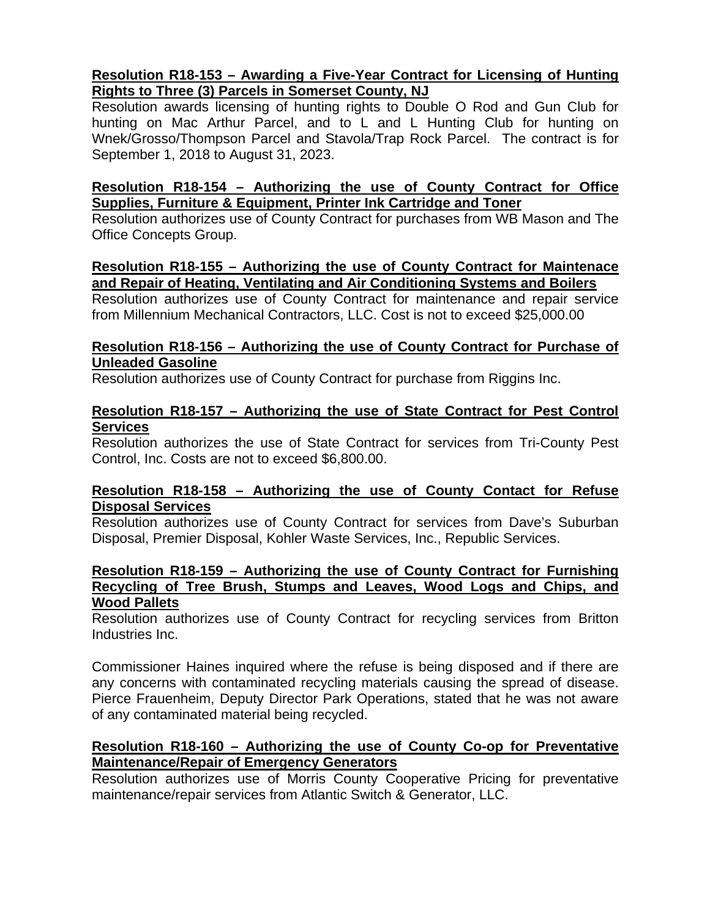### **Resolution R18-153 – Awarding a Five-Year Contract for Licensing of Hunting Rights to Three (3) Parcels in Somerset County, NJ**

Resolution awards licensing of hunting rights to Double O Rod and Gun Club for hunting on Mac Arthur Parcel, and to L and L Hunting Club for hunting on Wnek/Grosso/Thompson Parcel and Stavola/Trap Rock Parcel. The contract is for September 1, 2018 to August 31, 2023.

### **Resolution R18-154 – Authorizing the use of County Contract for Office Supplies, Furniture & Equipment, Printer Ink Cartridge and Toner**

Resolution authorizes use of County Contract for purchases from WB Mason and The Office Concepts Group.

# **Resolution R18-155 – Authorizing the use of County Contract for Maintenace and Repair of Heating, Ventilating and Air Conditioning Systems and Boilers**

Resolution authorizes use of County Contract for maintenance and repair service from Millennium Mechanical Contractors, LLC. Cost is not to exceed \$25,000.00

### **Resolution R18-156 – Authorizing the use of County Contract for Purchase of Unleaded Gasoline**

Resolution authorizes use of County Contract for purchase from Riggins Inc.

### **Resolution R18-157 – Authorizing the use of State Contract for Pest Control Services**

Resolution authorizes the use of State Contract for services from Tri-County Pest Control, Inc. Costs are not to exceed \$6,800.00.

# **Resolution R18-158 – Authorizing the use of County Contact for Refuse Disposal Services**

Resolution authorizes use of County Contract for services from Dave's Suburban Disposal, Premier Disposal, Kohler Waste Services, Inc., Republic Services.

#### **Resolution R18-159 – Authorizing the use of County Contract for Furnishing Recycling of Tree Brush, Stumps and Leaves, Wood Logs and Chips, and Wood Pallets**

Resolution authorizes use of County Contract for recycling services from Britton Industries Inc.

Commissioner Haines inquired where the refuse is being disposed and if there are any concerns with contaminated recycling materials causing the spread of disease. Pierce Frauenheim, Deputy Director Park Operations, stated that he was not aware of any contaminated material being recycled.

# **Resolution R18-160 – Authorizing the use of County Co-op for Preventative Maintenance/Repair of Emergency Generators**

Resolution authorizes use of Morris County Cooperative Pricing for preventative maintenance/repair services from Atlantic Switch & Generator, LLC.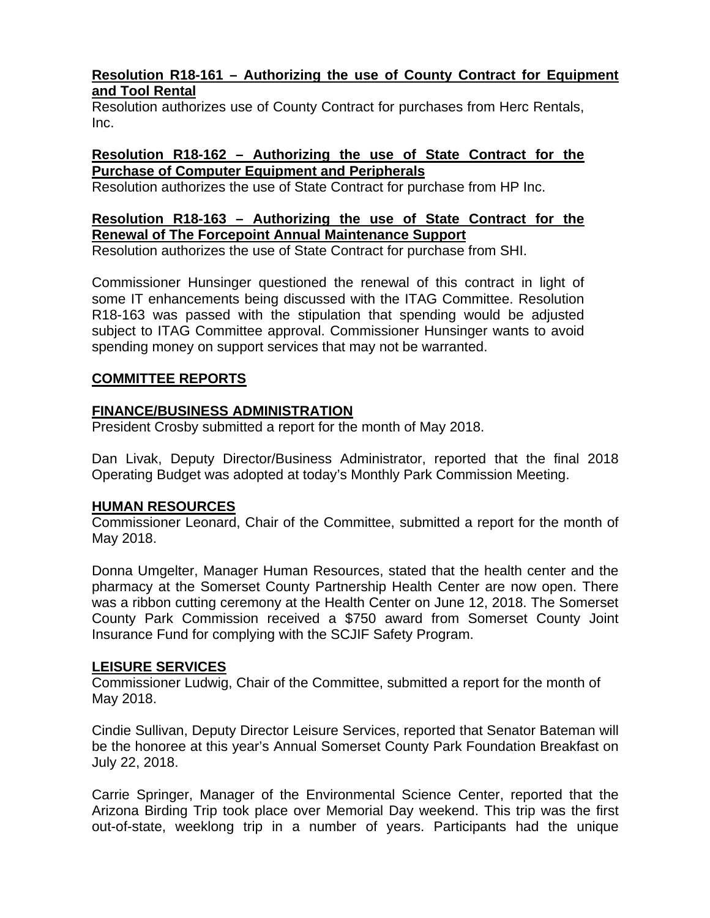### **Resolution R18-161 – Authorizing the use of County Contract for Equipment and Tool Rental**

Resolution authorizes use of County Contract for purchases from Herc Rentals, Inc.

#### **Resolution R18-162 – Authorizing the use of State Contract for the Purchase of Computer Equipment and Peripherals**

Resolution authorizes the use of State Contract for purchase from HP Inc.

# **Resolution R18-163 – Authorizing the use of State Contract for the Renewal of The Forcepoint Annual Maintenance Support**

Resolution authorizes the use of State Contract for purchase from SHI.

Commissioner Hunsinger questioned the renewal of this contract in light of some IT enhancements being discussed with the ITAG Committee. Resolution R18-163 was passed with the stipulation that spending would be adjusted subject to ITAG Committee approval. Commissioner Hunsinger wants to avoid spending money on support services that may not be warranted.

### **COMMITTEE REPORTS**

# **FINANCE/BUSINESS ADMINISTRATION**

President Crosby submitted a report for the month of May 2018.

Dan Livak, Deputy Director/Business Administrator, reported that the final 2018 Operating Budget was adopted at today's Monthly Park Commission Meeting.

### **HUMAN RESOURCES**

Commissioner Leonard, Chair of the Committee, submitted a report for the month of May 2018.

Donna Umgelter, Manager Human Resources, stated that the health center and the pharmacy at the Somerset County Partnership Health Center are now open. There was a ribbon cutting ceremony at the Health Center on June 12, 2018. The Somerset County Park Commission received a \$750 award from Somerset County Joint Insurance Fund for complying with the SCJIF Safety Program.

### **LEISURE SERVICES**

Commissioner Ludwig, Chair of the Committee, submitted a report for the month of May 2018.

Cindie Sullivan, Deputy Director Leisure Services, reported that Senator Bateman will be the honoree at this year's Annual Somerset County Park Foundation Breakfast on July 22, 2018.

Carrie Springer, Manager of the Environmental Science Center, reported that the Arizona Birding Trip took place over Memorial Day weekend. This trip was the first out-of-state, weeklong trip in a number of years. Participants had the unique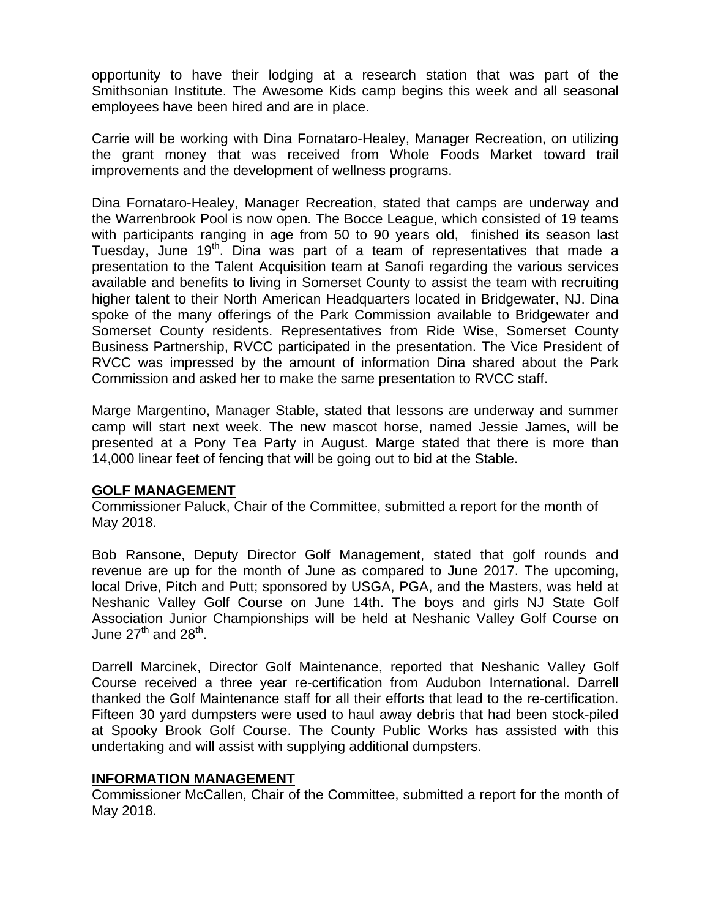opportunity to have their lodging at a research station that was part of the Smithsonian Institute. The Awesome Kids camp begins this week and all seasonal employees have been hired and are in place.

Carrie will be working with Dina Fornataro-Healey, Manager Recreation, on utilizing the grant money that was received from Whole Foods Market toward trail improvements and the development of wellness programs.

Dina Fornataro-Healey, Manager Recreation, stated that camps are underway and the Warrenbrook Pool is now open. The Bocce League, which consisted of 19 teams with participants ranging in age from 50 to 90 years old, finished its season last Tuesday, June 19<sup>th</sup>. Dina was part of a team of representatives that made a presentation to the Talent Acquisition team at Sanofi regarding the various services available and benefits to living in Somerset County to assist the team with recruiting higher talent to their North American Headquarters located in Bridgewater, NJ. Dina spoke of the many offerings of the Park Commission available to Bridgewater and Somerset County residents. Representatives from Ride Wise, Somerset County Business Partnership, RVCC participated in the presentation. The Vice President of RVCC was impressed by the amount of information Dina shared about the Park Commission and asked her to make the same presentation to RVCC staff.

Marge Margentino, Manager Stable, stated that lessons are underway and summer camp will start next week. The new mascot horse, named Jessie James, will be presented at a Pony Tea Party in August. Marge stated that there is more than 14,000 linear feet of fencing that will be going out to bid at the Stable.

### **GOLF MANAGEMENT**

Commissioner Paluck, Chair of the Committee, submitted a report for the month of May 2018.

Bob Ransone, Deputy Director Golf Management, stated that golf rounds and revenue are up for the month of June as compared to June 2017. The upcoming, local Drive, Pitch and Putt; sponsored by USGA, PGA, and the Masters, was held at Neshanic Valley Golf Course on June 14th. The boys and girls NJ State Golf Association Junior Championships will be held at Neshanic Valley Golf Course on June  $27^{th}$  and  $28^{th}$ .

Darrell Marcinek, Director Golf Maintenance, reported that Neshanic Valley Golf Course received a three year re-certification from Audubon International. Darrell thanked the Golf Maintenance staff for all their efforts that lead to the re-certification. Fifteen 30 yard dumpsters were used to haul away debris that had been stock-piled at Spooky Brook Golf Course. The County Public Works has assisted with this undertaking and will assist with supplying additional dumpsters.

#### **INFORMATION MANAGEMENT**

Commissioner McCallen, Chair of the Committee, submitted a report for the month of May 2018.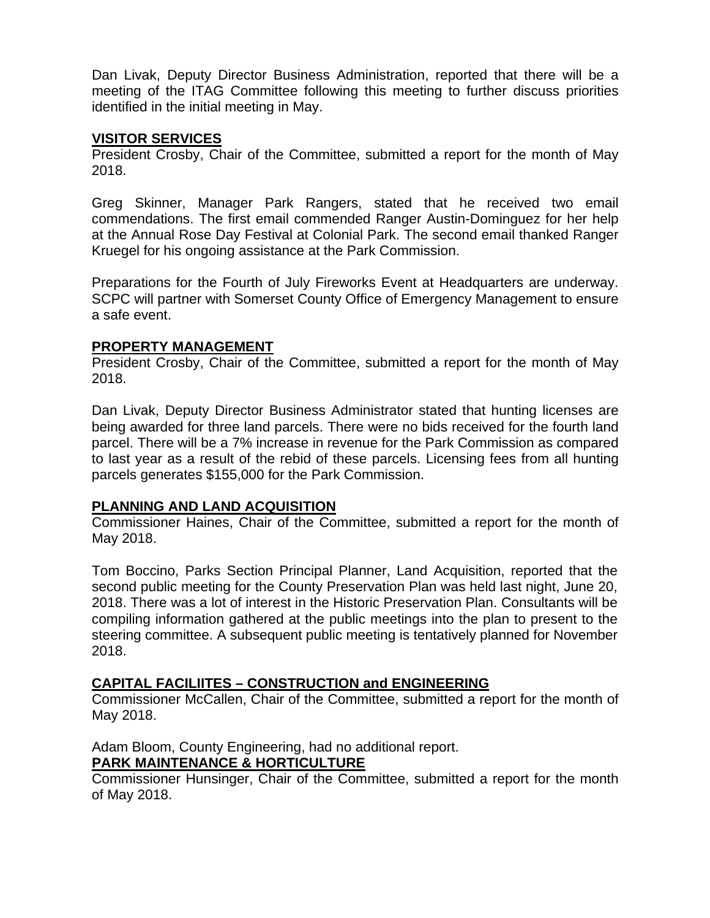Dan Livak, Deputy Director Business Administration, reported that there will be a meeting of the ITAG Committee following this meeting to further discuss priorities identified in the initial meeting in May.

#### **VISITOR SERVICES**

President Crosby, Chair of the Committee, submitted a report for the month of May 2018.

Greg Skinner, Manager Park Rangers, stated that he received two email commendations. The first email commended Ranger Austin-Dominguez for her help at the Annual Rose Day Festival at Colonial Park. The second email thanked Ranger Kruegel for his ongoing assistance at the Park Commission.

Preparations for the Fourth of July Fireworks Event at Headquarters are underway. SCPC will partner with Somerset County Office of Emergency Management to ensure a safe event.

### **PROPERTY MANAGEMENT**

President Crosby, Chair of the Committee, submitted a report for the month of May 2018.

Dan Livak, Deputy Director Business Administrator stated that hunting licenses are being awarded for three land parcels. There were no bids received for the fourth land parcel. There will be a 7% increase in revenue for the Park Commission as compared to last year as a result of the rebid of these parcels. Licensing fees from all hunting parcels generates \$155,000 for the Park Commission.

### **PLANNING AND LAND ACQUISITION**

Commissioner Haines, Chair of the Committee, submitted a report for the month of May 2018.

Tom Boccino, Parks Section Principal Planner, Land Acquisition, reported that the second public meeting for the County Preservation Plan was held last night, June 20, 2018. There was a lot of interest in the Historic Preservation Plan. Consultants will be compiling information gathered at the public meetings into the plan to present to the steering committee. A subsequent public meeting is tentatively planned for November 2018.

# **CAPITAL FACILIITES – CONSTRUCTION and ENGINEERING**

Commissioner McCallen, Chair of the Committee, submitted a report for the month of May 2018.

Adam Bloom, County Engineering, had no additional report.

### **PARK MAINTENANCE & HORTICULTURE**

Commissioner Hunsinger, Chair of the Committee, submitted a report for the month of May 2018.